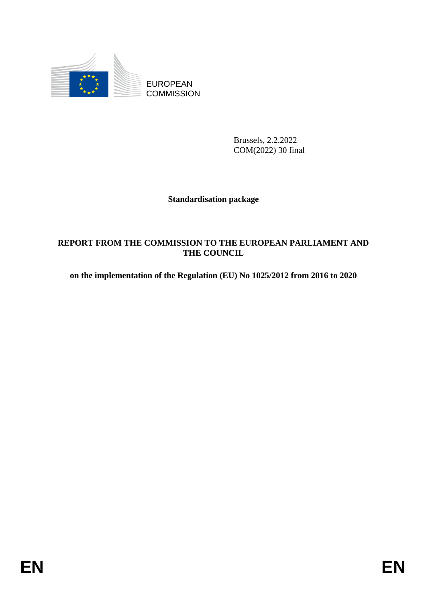

EUROPEAN **COMMISSION** 

> Brussels, 2.2.2022 COM(2022) 30 final

### **Standardisation package**

#### **REPORT FROM THE COMMISSION TO THE EUROPEAN PARLIAMENT AND THE COUNCIL**

**on the implementation of the Regulation (EU) No 1025/2012 from 2016 to 2020**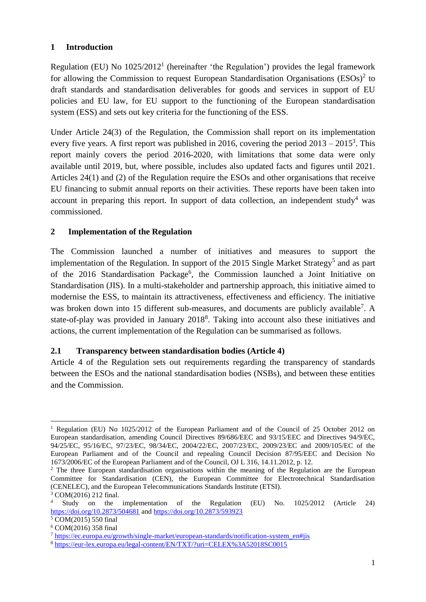#### **1 Introduction**

Regulation (EU) No  $1025/2012<sup>1</sup>$  (hereinafter 'the Regulation') provides the legal framework for allowing the Commission to request European Standardisation Organisations  $(ESOs)^2$  to draft standards and standardisation deliverables for goods and services in support of EU policies and EU law, for EU support to the functioning of the European standardisation system (ESS) and sets out key criteria for the functioning of the ESS.

Under Article 24(3) of the Regulation, the Commission shall report on its implementation every five years. A first report was published in 2016, covering the period  $2013 - 2015^3$ . This report mainly covers the period 2016-2020, with limitations that some data were only available until 2019, but, where possible, includes also updated facts and figures until 2021. Articles 24(1) and (2) of the Regulation require the ESOs and other organisations that receive EU financing to submit annual reports on their activities. These reports have been taken into account in preparing this report. In support of data collection, an independent study<sup>4</sup> was commissioned.

### **2 Implementation of the Regulation**

The Commission launched a number of initiatives and measures to support the implementation of the Regulation. In support of the 2015 Single Market Strategy<sup>5</sup> and as part of the 2016 Standardisation Package<sup>6</sup>, the Commission launched a Joint Initiative on Standardisation (JIS). In a multi-stakeholder and partnership approach, this initiative aimed to modernise the ESS, to maintain its attractiveness, effectiveness and efficiency. The initiative was broken down into 15 different sub-measures, and documents are publicly available<sup>7</sup>. A state-of-play was provided in January 2018<sup>8</sup>. Taking into account also these initiatives and actions, the current implementation of the Regulation can be summarised as follows.

#### **2.1 Transparency between standardisation bodies (Article 4)**

Article 4 of the Regulation sets out requirements regarding the transparency of standards between the ESOs and the national standardisation bodies (NSBs), and between these entities and the Commission.

**.** 

<sup>1</sup> Regulation (EU) No 1025/2012 of the European Parliament and of the Council of 25 October 2012 on European standardisation, amending Council Directives 89/686/EEC and 93/15/EEC and Directives 94/9/EC, 94/25/EC, 95/16/EC, 97/23/EC, 98/34/EC, 2004/22/EC, 2007/23/EC, 2009/23/EC and 2009/105/EC of the European Parliament and of the Council and repealing Council Decision 87/95/EEC and Decision No 1673/2006/EC of the European Parliament and of the Council, OJ L 316, 14.11.2012, p. 12.

<sup>&</sup>lt;sup>2</sup> The three European standardisation organisations within the meaning of the Regulation are the European Committee for Standardisation (CEN), the European Committee for Electrotechnical Standardisation (CENELEC), and the European Telecommunications Standards Institute (ETSI).

 $\frac{3}{4}$  COM(2016) 212 final. <sup>4</sup> Study on the implementation of the Regulation (EU) No. 1025/2012 (Article 24) <https://doi.org/10.2873/504681> an[d https://doi.org/10.2873/593923](https://doi.org/10.2873/593923)

<sup>5</sup> COM(2015) 550 final

<sup>6</sup> COM(2016) 358 final

<sup>7</sup> [https://ec.europa.eu/growth/single-market/european-standards/notification-system\\_en#jis](https://ec.europa.eu/growth/single-market/european-standards/notification-system_en#jis)

<sup>8</sup> <https://eur-lex.europa.eu/legal-content/EN/TXT/?uri=CELEX%3A52018SC0015>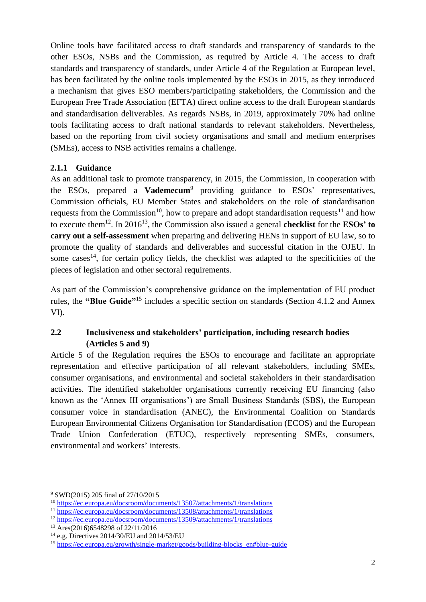Online tools have facilitated access to draft standards and transparency of standards to the other ESOs, NSBs and the Commission, as required by Article 4. The access to draft standards and transparency of standards, under Article 4 of the Regulation at European level, has been facilitated by the online tools implemented by the ESOs in 2015, as they introduced a mechanism that gives ESO members/participating stakeholders, the Commission and the European Free Trade Association (EFTA) direct online access to the draft European standards and standardisation deliverables. As regards NSBs, in 2019, approximately 70% had online tools facilitating access to draft national standards to relevant stakeholders. Nevertheless, based on the reporting from civil society organisations and small and medium enterprises (SMEs), access to NSB activities remains a challenge.

### **2.1.1 Guidance**

As an additional task to promote transparency, in 2015, the Commission, in cooperation with the ESOs, prepared a **Vademecum**<sup>9</sup> providing guidance to ESOs' representatives, Commission officials, EU Member States and stakeholders on the role of standardisation requests from the Commission<sup>10</sup>, how to prepare and adopt standardisation requests<sup>11</sup> and how to execute them<sup>12</sup>. In 2016<sup>13</sup>, the Commission also issued a general **checklist** for the **ESOs' to carry out a self-assessment** when preparing and delivering HENs in support of EU law, so to promote the quality of standards and deliverables and successful citation in the OJEU. In some cases<sup>14</sup>, for certain policy fields, the checklist was adapted to the specificities of the pieces of legislation and other sectoral requirements.

As part of the Commission's comprehensive guidance on the implementation of EU product rules, the **"Blue Guide"**<sup>15</sup> includes a specific section on standards (Section 4.1.2 and Annex VI)**.**

## **2.2 Inclusiveness and stakeholders' participation, including research bodies (Articles 5 and 9)**

Article 5 of the Regulation requires the ESOs to encourage and facilitate an appropriate representation and effective participation of all relevant stakeholders, including SMEs, consumer organisations, and environmental and societal stakeholders in their standardisation activities. The identified stakeholder organisations currently receiving EU financing (also known as the 'Annex III organisations') are Small Business Standards (SBS), the European consumer voice in standardisation (ANEC), the Environmental Coalition on Standards European Environmental Citizens Organisation for Standardisation (ECOS) and the European Trade Union Confederation (ETUC), respectively representing SMEs, consumers, environmental and workers' interests.

**<sup>.</sup>** <sup>9</sup> SWD(2015) 205 final of 27/10/2015

<sup>10</sup> <https://ec.europa.eu/docsroom/documents/13507/attachments/1/translations>

<sup>11</sup> <https://ec.europa.eu/docsroom/documents/13508/attachments/1/translations>

<sup>12</sup> <https://ec.europa.eu/docsroom/documents/13509/attachments/1/translations>

<sup>13</sup> Ares(2016)6548298 of 22/11/2016

<sup>14</sup> e.g. Directives 2014/30/EU and 2014/53/EU

<sup>15</sup> [https://ec.europa.eu/growth/single-market/goods/building-blocks\\_en#blue-guide](https://ec.europa.eu/growth/single-market/goods/building-blocks_en#blue-guide)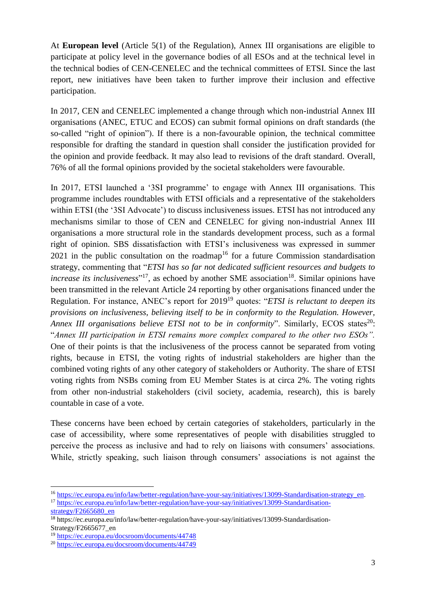At **European level** (Article 5(1) of the Regulation), Annex III organisations are eligible to participate at policy level in the governance bodies of all ESOs and at the technical level in the technical bodies of CEN-CENELEC and the technical committees of ETSI. Since the last report, new initiatives have been taken to further improve their inclusion and effective participation.

In 2017, CEN and CENELEC implemented a change through which non-industrial Annex III organisations (ANEC, ETUC and ECOS) can submit formal opinions on draft standards (the so-called "right of opinion"). If there is a non-favourable opinion, the technical committee responsible for drafting the standard in question shall consider the justification provided for the opinion and provide feedback. It may also lead to revisions of the draft standard. Overall, 76% of all the formal opinions provided by the societal stakeholders were favourable.

In 2017, ETSI launched a '3SI programme' to engage with Annex III organisations. This programme includes roundtables with ETSI officials and a representative of the stakeholders within ETSI (the '3SI Advocate') to discuss inclusiveness issues. ETSI has not introduced any mechanisms similar to those of CEN and CENELEC for giving non-industrial Annex III organisations a more structural role in the standards development process, such as a formal right of opinion. SBS dissatisfaction with ETSI's inclusiveness was expressed in summer  $2021$  in the public consultation on the roadmap<sup>16</sup> for a future Commission standardisation strategy, commenting that "*ETSI has so far not dedicated sufficient resources and budgets to increase its inclusiveness*"<sup>17</sup>, as echoed by another SME association<sup>18</sup>. Similar opinions have been transmitted in the relevant Article 24 reporting by other organisations financed under the Regulation. For instance, ANEC's report for 2019<sup>19</sup> quotes: "*ETSI is reluctant to deepen its provisions on inclusiveness, believing itself to be in conformity to the Regulation. However, Annex III organisations believe ETSI not to be in conformity*". Similarly, ECOS states<sup>20</sup>: "*Annex III participation in ETSI remains more complex compared to the other two ESOs".*  One of their points is that the inclusiveness of the process cannot be separated from voting rights, because in ETSI, the voting rights of industrial stakeholders are higher than the combined voting rights of any other category of stakeholders or Authority. The share of ETSI voting rights from NSBs coming from EU Member States is at circa 2%. The voting rights from other non-industrial stakeholders (civil society, academia, research), this is barely countable in case of a vote.

These concerns have been echoed by certain categories of stakeholders, particularly in the case of accessibility, where some representatives of people with disabilities struggled to perceive the process as inclusive and had to rely on liaisons with consumers' associations. While, strictly speaking, such liaison through consumers' associations is not against the

1

<sup>&</sup>lt;sup>16</sup> [https://ec.europa.eu/info/law/better-regulation/have-your-say/initiatives/13099-Standardisation-strategy\\_en.](https://ec.europa.eu/info/law/better-regulation/have-your-say/initiatives/13099-Standardisation-strategy_en) <sup>17</sup> [https://ec.europa.eu/info/law/better-regulation/have-your-say/initiatives/13099-Standardisation-](https://ec.europa.eu/info/law/better-regulation/have-your-say/initiatives/13099-Standardisation-strategy/F2665680_en)

[strategy/F2665680\\_en](https://ec.europa.eu/info/law/better-regulation/have-your-say/initiatives/13099-Standardisation-strategy/F2665680_en)

<sup>18</sup> https://ec.europa.eu/info/law/better-regulation/have-your-say/initiatives/13099-Standardisation-Strategy/F2665677\_en

<sup>19</sup> <https://ec.europa.eu/docsroom/documents/44748>

<sup>20</sup> <https://ec.europa.eu/docsroom/documents/44749>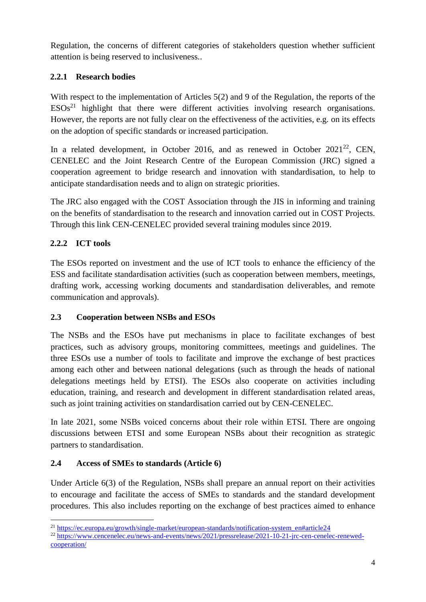Regulation, the concerns of different categories of stakeholders question whether sufficient attention is being reserved to inclusiveness..

# **2.2.1 Research bodies**

With respect to the implementation of Articles 5(2) and 9 of the Regulation, the reports of the  $ESOs<sup>21</sup>$  highlight that there were different activities involving research organisations. However, the reports are not fully clear on the effectiveness of the activities, e.g. on its effects on the adoption of specific standards or increased participation.

In a related development, in October 2016, and as renewed in October  $2021^{22}$ , CEN, CENELEC and the Joint Research Centre of the European Commission (JRC) signed a cooperation agreement to bridge research and innovation with standardisation, to help to anticipate standardisation needs and to align on strategic priorities.

The JRC also engaged with the COST Association through the JIS in informing and training on the benefits of standardisation to the research and innovation carried out in COST Projects. Through this link CEN-CENELEC provided several training modules since 2019.

# **2.2.2 ICT tools**

The ESOs reported on investment and the use of ICT tools to enhance the efficiency of the ESS and facilitate standardisation activities (such as cooperation between members, meetings, drafting work, accessing working documents and standardisation deliverables, and remote communication and approvals).

# **2.3 Cooperation between NSBs and ESOs**

The NSBs and the ESOs have put mechanisms in place to facilitate exchanges of best practices, such as advisory groups, monitoring committees, meetings and guidelines. The three ESOs use a number of tools to facilitate and improve the exchange of best practices among each other and between national delegations (such as through the heads of national delegations meetings held by ETSI). The ESOs also cooperate on activities including education, training, and research and development in different standardisation related areas, such as joint training activities on standardisation carried out by CEN-CENELEC.

In late 2021, some NSBs voiced concerns about their role within ETSI. There are ongoing discussions between ETSI and some European NSBs about their recognition as strategic partners to standardisation.

# **2.4 Access of SMEs to standards (Article 6)**

Under Article 6(3) of the Regulation, NSBs shall prepare an annual report on their activities to encourage and facilitate the access of SMEs to standards and the standard development procedures. This also includes reporting on the exchange of best practices aimed to enhance

**<sup>.</sup>**  $^{21}$  [https://ec.europa.eu/growth/single-market/european-standards/notification-system\\_en#article24](https://ec.europa.eu/growth/single-market/european-standards/notification-system_en#article24)

<sup>22</sup> [https://www.cencenelec.eu/news-and-events/news/2021/pressrelease/2021-10-21-jrc-cen-cenelec-renewed](https://www.cencenelec.eu/news-and-events/news/2021/pressrelease/2021-10-21-jrc-cen-cenelec-renewed-cooperation/)[cooperation/](https://www.cencenelec.eu/news-and-events/news/2021/pressrelease/2021-10-21-jrc-cen-cenelec-renewed-cooperation/)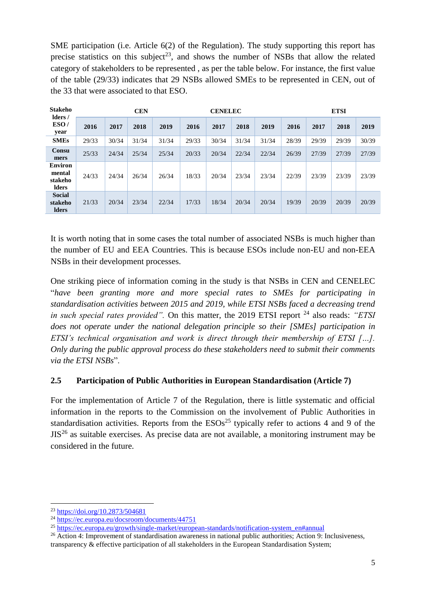SME participation (i.e. Article 6(2) of the Regulation). The study supporting this report has precise statistics on this subject<sup>23</sup>, and shows the number of NSBs that allow the related category of stakeholders to be represented , as per the table below. For instance, the first value of the table (29/33) indicates that 29 NSBs allowed SMEs to be represented in CEN, out of the 33 that were associated to that ESO.

| <b>Stakeho</b><br>lders/<br>ESO/<br>year            | <b>CEN</b> |       |       |       | <b>CENELEC</b> |       |       |       | <b>ETSI</b> |       |       |       |
|-----------------------------------------------------|------------|-------|-------|-------|----------------|-------|-------|-------|-------------|-------|-------|-------|
|                                                     | 2016       | 2017  | 2018  | 2019  | 2016           | 2017  | 2018  | 2019  | 2016        | 2017  | 2018  | 2019  |
| <b>SMEs</b>                                         | 29/33      | 30/34 | 31/34 | 31/34 | 29/33          | 30/34 | 31/34 | 31/34 | 28/39       | 29/39 | 29/39 | 30/39 |
| Consu<br>mers                                       | 25/33      | 24/34 | 25/34 | 25/34 | 20/33          | 20/34 | 22/34 | 22/34 | 26/39       | 27/39 | 27/39 | 27/39 |
| <b>Environ</b><br>mental<br>stakeho<br><b>Iders</b> | 24/33      | 24/34 | 26/34 | 26/34 | 18/33          | 20/34 | 23/34 | 23/34 | 22/39       | 23/39 | 23/39 | 23/39 |
| <b>Social</b><br>stakeho<br><b>Iders</b>            | 21/33      | 20/34 | 23/34 | 22/34 | 17/33          | 18/34 | 20/34 | 20/34 | 19/39       | 20/39 | 20/39 | 20/39 |

It is worth noting that in some cases the total number of associated NSBs is much higher than the number of EU and EEA Countries. This is because ESOs include non-EU and non-EEA NSBs in their development processes.

One striking piece of information coming in the study is that NSBs in CEN and CENELEC "*have been granting more and more special rates to SMEs for participating in standardisation activities between 2015 and 2019, while ETSI NSBs faced a decreasing trend in such special rates provided"*. On this matter, the 2019 ETSI report <sup>24</sup> also reads: "ETSI *does not operate under the national delegation principle so their [SMEs] participation in ETSI's technical organisation and work is direct through their membership of ETSI […]. Only during the public approval process do these stakeholders need to submit their comments via the ETSI NSBs*".

### **2.5 Participation of Public Authorities in European Standardisation (Article 7)**

For the implementation of Article 7 of the Regulation, there is little systematic and official information in the reports to the Commission on the involvement of Public Authorities in standardisation activities. Reports from the  $ESOs<sup>25</sup>$  typically refer to actions 4 and 9 of the  $JIS<sup>26</sup>$  as suitable exercises. As precise data are not available, a monitoring instrument may be considered in the future.

1

<sup>23</sup> <https://doi.org/10.2873/504681>

<sup>24</sup> <https://ec.europa.eu/docsroom/documents/44751>

<sup>&</sup>lt;sup>25</sup> [https://ec.europa.eu/growth/single-market/european-standards/notification-system\\_en#annual](https://ec.europa.eu/growth/single-market/european-standards/notification-system_en#annual)

<sup>26</sup> Action 4: Improvement of standardisation awareness in national public authorities; Action 9: Inclusiveness, transparency & effective participation of all stakeholders in the European Standardisation System;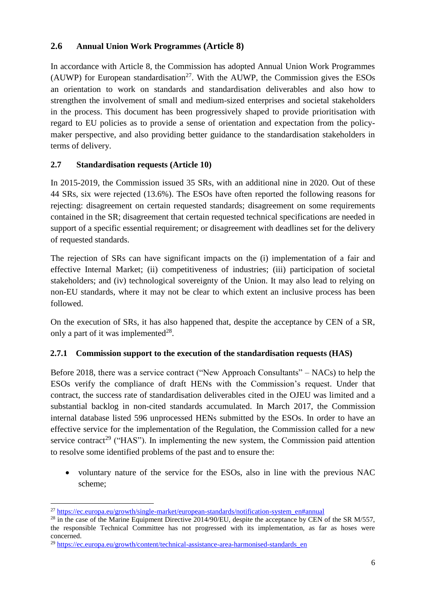### **2.6 Annual Union Work Programmes (Article 8)**

In accordance with Article 8, the Commission has adopted Annual Union Work Programmes (AUWP) for European standardisation<sup>27</sup>. With the AUWP, the Commission gives the ESOs an orientation to work on standards and standardisation deliverables and also how to strengthen the involvement of small and medium-sized enterprises and societal stakeholders in the process. This document has been progressively shaped to provide prioritisation with regard to EU policies as to provide a sense of orientation and expectation from the policymaker perspective, and also providing better guidance to the standardisation stakeholders in terms of delivery.

## **2.7 Standardisation requests (Article 10)**

In 2015-2019, the Commission issued 35 SRs, with an additional nine in 2020. Out of these 44 SRs, six were rejected (13.6%). The ESOs have often reported the following reasons for rejecting: disagreement on certain requested standards; disagreement on some requirements contained in the SR; disagreement that certain requested technical specifications are needed in support of a specific essential requirement; or disagreement with deadlines set for the delivery of requested standards.

The rejection of SRs can have significant impacts on the (i) implementation of a fair and effective Internal Market; (ii) competitiveness of industries; (iii) participation of societal stakeholders; and (iv) technological sovereignty of the Union. It may also lead to relying on non-EU standards, where it may not be clear to which extent an inclusive process has been followed.

On the execution of SRs, it has also happened that, despite the acceptance by CEN of a SR, only a part of it was implemented $^{28}$ .

### **2.7.1 Commission support to the execution of the standardisation requests (HAS)**

Before 2018, there was a service contract ("New Approach Consultants" – NACs) to help the ESOs verify the compliance of draft HENs with the Commission's request. Under that contract, the success rate of standardisation deliverables cited in the OJEU was limited and a substantial backlog in non-cited standards accumulated. In March 2017, the Commission internal database listed 596 unprocessed HENs submitted by the ESOs. In order to have an effective service for the implementation of the Regulation, the Commission called for a new service contract<sup>29</sup> ("HAS"). In implementing the new system, the Commission paid attention to resolve some identified problems of the past and to ensure the:

• voluntary nature of the service for the ESOs, also in line with the previous NAC scheme;

1

<sup>27</sup> [https://ec.europa.eu/growth/single-market/european-standards/notification-system\\_en#annual](https://ec.europa.eu/growth/single-market/european-standards/notification-system_en#annual)

<sup>&</sup>lt;sup>28</sup> in the case of the Marine Equipment Directive 2014/90/EU, despite the acceptance by CEN of the SR M/557, the responsible Technical Committee has not progressed with its implementation, as far as hoses were concerned.

 $^{29}$  https://ec.europa.eu/growth/content/technical-assistance-area-harmonised-standards en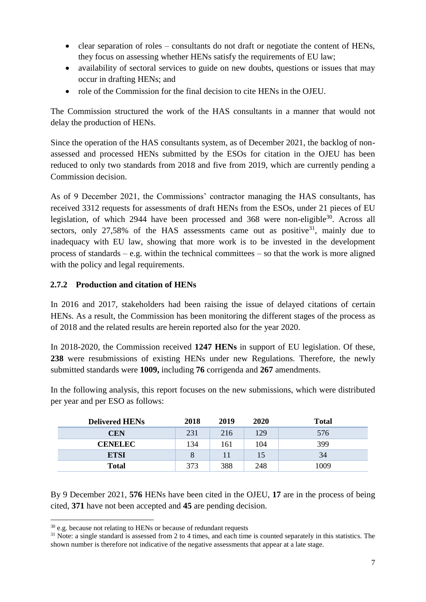- clear separation of roles consultants do not draft or negotiate the content of HENs, they focus on assessing whether HENs satisfy the requirements of EU law;
- availability of sectoral services to guide on new doubts, questions or issues that may occur in drafting HENs; and
- role of the Commission for the final decision to cite HENs in the OJEU.

The Commission structured the work of the HAS consultants in a manner that would not delay the production of HENs.

Since the operation of the HAS consultants system, as of December 2021, the backlog of nonassessed and processed HENs submitted by the ESOs for citation in the OJEU has been reduced to only two standards from 2018 and five from 2019, which are currently pending a Commission decision.

As of 9 December 2021, the Commissions' contractor managing the HAS consultants, has received 3312 requests for assessments of draft HENs from the ESOs, under 21 pieces of EU legislation, of which 2944 have been processed and 368 were non-eligible<sup>30</sup>. Across all sectors, only  $27,58\%$  of the HAS assessments came out as positive<sup>31</sup>, mainly due to inadequacy with EU law, showing that more work is to be invested in the development process of standards – e.g. within the technical committees – so that the work is more aligned with the policy and legal requirements.

## **2.7.2 Production and citation of HENs**

In 2016 and 2017, stakeholders had been raising the issue of delayed citations of certain HENs. As a result, the Commission has been monitoring the different stages of the process as of 2018 and the related results are herein reported also for the year 2020.

In 2018-2020, the Commission received **1247 HENs** in support of EU legislation. Of these, **238** were resubmissions of existing HENs under new Regulations. Therefore, the newly submitted standards were **1009,** including **76** corrigenda and **267** amendments.

| <b>Delivered HENs</b> | 2018 | 2019 | 2020 | <b>Total</b> |
|-----------------------|------|------|------|--------------|
| CEN                   | 231  | 216  | 129  | 576          |
| <b>CENELEC</b>        | 134  | 161  | 104  | 399          |
| <b>ETSI</b>           |      |      | 15   | 34           |
| <b>Total</b>          | 373  | 388  | 248  | 1009         |

In the following analysis, this report focuses on the new submissions, which were distributed per year and per ESO as follows:

By 9 December 2021, **576** HENs have been cited in the OJEU, **17** are in the process of being cited, **371** have not been accepted and **45** are pending decision.

**<sup>.</sup>**  $30$  e.g. because not relating to HENs or because of redundant requests

 $31$  Note: a single standard is assessed from 2 to 4 times, and each time is counted separately in this statistics. The shown number is therefore not indicative of the negative assessments that appear at a late stage.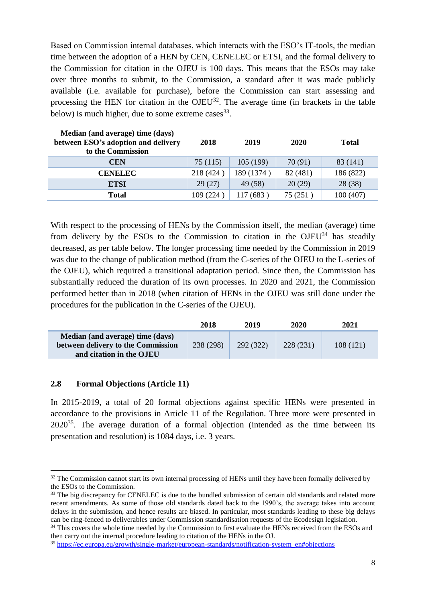Based on Commission internal databases, which interacts with the ESO's IT-tools, the median time between the adoption of a HEN by CEN, CENELEC or ETSI, and the formal delivery to the Commission for citation in the OJEU is 100 days. This means that the ESOs may take over three months to submit, to the Commission, a standard after it was made publicly available (i.e. available for purchase), before the Commission can start assessing and processing the HEN for citation in the  $OJEU<sup>32</sup>$ . The average time (in brackets in the table below) is much higher, due to some extreme cases  $33$ .

| Median (and average) time (days)<br>between ESO's adoption and delivery<br>to the Commission | 2018      | 2019       | 2020     | <b>Total</b> |
|----------------------------------------------------------------------------------------------|-----------|------------|----------|--------------|
| <b>CEN</b>                                                                                   | 75(115)   | 105(199)   | 70(91)   | 83 (141)     |
| <b>CENELEC</b>                                                                               | 218 (424) | 189 (1374) | 82 (481) | 186 (822)    |
| <b>ETSI</b>                                                                                  | 29(27)    | 49 (58)    | 20(29)   | 28(38)       |
| <b>Total</b>                                                                                 | 109 (224) | 117(683)   | 75(251)  | 100 (407)    |

With respect to the processing of HENs by the Commission itself, the median (average) time from delivery by the ESOs to the Commission to citation in the  $OJEU<sup>34</sup>$  has steadily decreased, as per table below. The longer processing time needed by the Commission in 2019 was due to the change of publication method (from the C-series of the OJEU to the L-series of the OJEU), which required a transitional adaptation period. Since then, the Commission has substantially reduced the duration of its own processes. In 2020 and 2021, the Commission performed better than in 2018 (when citation of HENs in the OJEU was still done under the procedures for the publication in the C-series of the OJEU).

|                                    | 2018      | 2019      | 2020     | 2021     |
|------------------------------------|-----------|-----------|----------|----------|
| Median (and average) time (days)   |           |           |          |          |
| between delivery to the Commission | 238 (298) | 292 (322) | 228(231) | 108(121) |
| and citation in the OJEU           |           |           |          |          |

#### **2.8 Formal Objections (Article 11)**

In 2015-2019, a total of 20 formal objections against specific HENs were presented in accordance to the provisions in Article 11 of the Regulation. Three more were presented in  $2020^{35}$ . The average duration of a formal objection (intended as the time between its presentation and resolution) is 1084 days, i.e. 3 years.

<sup>34</sup> This covers the whole time needed by the Commission to first evaluate the HENs received from the ESOs and then carry out the internal procedure leading to citation of the HENs in the OJ.

**<sup>.</sup>** <sup>32</sup> The Commission cannot start its own internal processing of HENs until they have been formally delivered by the ESOs to the Commission.

<sup>&</sup>lt;sup>33</sup> The big discrepancy for CENELEC is due to the bundled submission of certain old standards and related more recent amendments. As some of those old standards dated back to the 1990's, the average takes into account delays in the submission, and hence results are biased. In particular, most standards leading to these big delays can be ring-fenced to deliverables under Commission standardisation requests of the Ecodesign legislation.

<sup>35</sup> [https://ec.europa.eu/growth/single-market/european-standards/notification-system\\_en#objections](https://ec.europa.eu/growth/single-market/european-standards/notification-system_en#objections)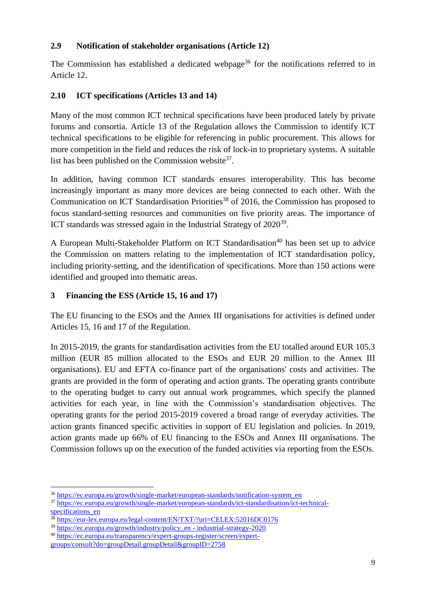#### **2.9 Notification of stakeholder organisations (Article 12)**

The Commission has established a dedicated webpage<sup>36</sup> for the notifications referred to in Article 12.

### **2.10 ICT specifications (Articles 13 and 14)**

Many of the most common ICT technical specifications have been produced lately by private forums and consortia. Article 13 of the Regulation allows the Commission to identify ICT technical specifications to be eligible for referencing in public procurement. This allows for more competition in the field and reduces the risk of lock-in to proprietary systems. A suitable list has been published on the Commission website $37$ .

In addition, having common ICT standards ensures interoperability. This has become increasingly important as many more devices are being connected to each other. With the Communication on ICT Standardisation Priorities<sup>38</sup> of 2016, the Commission has proposed to focus standard-setting resources and communities on five priority areas. The importance of ICT standards was stressed again in the Industrial Strategy of 2020<sup>39</sup>.

A European Multi-Stakeholder Platform on ICT Standardisation<sup>40</sup> has been set up to advice the Commission on matters relating to the implementation of ICT standardisation policy, including priority-setting, and the identification of specifications. More than 150 actions were identified and grouped into thematic areas.

## **3 Financing the ESS (Article 15, 16 and 17)**

The EU financing to the ESOs and the Annex III organisations for activities is defined under Articles 15, 16 and 17 of the Regulation.

In 2015-2019, the grants for standardisation activities from the EU totalled around EUR 105.3 million (EUR 85 million allocated to the ESOs and EUR 20 million to the Annex III organisations). EU and EFTA co-finance part of the organisations' costs and activities. The grants are provided in the form of operating and action grants. The operating grants contribute to the operating budget to carry out annual work programmes, which specify the planned activities for each year, in line with the Commission's standardisation objectives. The operating grants for the period 2015-2019 covered a broad range of everyday activities. The action grants financed specific activities in support of EU legislation and policies. In 2019, action grants made up 66% of EU financing to the ESOs and Annex III organisations. The Commission follows up on the execution of the funded activities via reporting from the ESOs.

**.** 

<sup>36</sup> [https://ec.europa.eu/growth/single-market/european-standards/notification-system\\_en](https://ec.europa.eu/growth/single-market/european-standards/notification-system_en)

<sup>37</sup> [https://ec.europa.eu/growth/single-market/european-standards/ict-standardisation/ict-technical](https://ec.europa.eu/growth/single-market/european-standards/ict-standardisation/ict-technical-specifications_en)[specifications\\_en](https://ec.europa.eu/growth/single-market/european-standards/ict-standardisation/ict-technical-specifications_en)

<sup>38</sup> <https://eur-lex.europa.eu/legal-content/EN/TXT/?uri=CELEX:52016DC0176>

 $39 \overline{\text{https://ec.europa.eu/growth/indextry/policy}}$ en - industrial-strategy-2020

<sup>40</sup> [https://ec.europa.eu/transparency/expert-groups-register/screen/expert-](https://ec.europa.eu/transparency/expert-groups-register/screen/expert-groups/consult?do=groupDetail.groupDetail&groupID=2758)

[groups/consult?do=groupDetail.groupDetail&groupID=2758](https://ec.europa.eu/transparency/expert-groups-register/screen/expert-groups/consult?do=groupDetail.groupDetail&groupID=2758)